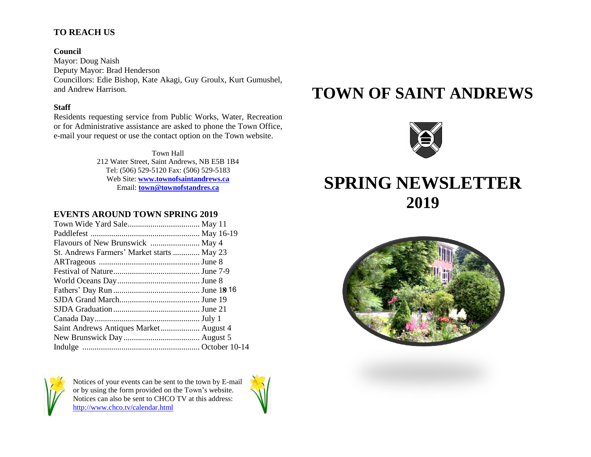## **TO REACH US**

#### **Council**

Mayor: Doug Naish Deputy Mayor: Brad Henderson Councillors: Edie Bishop, Kate Akagi, Guy Groulx, Kurt Gumushel, and Andrew Harrison.

#### **Staff**

Residents requesting service from Public Works, Water, Recreation or for Administrative assistance are asked to phone the Town Office, e-mail your request or use the contact option on the Town website.

> Town Hall 212 Water Street, Saint Andrews, NB E5B 1B4 Tel: (506) 529-5120 Fax: (506) 529-5183 Web Site: **[www.townofsaintandrews.ca](http://www.townofsaintandrews.ca/)** Email: **[town@townofstandres.ca](mailto:town@townofstandres.ca)**

## **EVENTS AROUND TOWN SPRING 2019**

| St. Andrews Farmers' Market starts  May 23 |  |
|--------------------------------------------|--|
|                                            |  |
|                                            |  |
|                                            |  |
|                                            |  |
|                                            |  |
|                                            |  |
|                                            |  |
| Saint Andrews Antiques Market August 4     |  |
|                                            |  |
|                                            |  |



Notices of your events can be sent to the town by E-mail or by using the form provided on the Town's website. Notices can also be sent to CHCO TV at this address: <http://www.chco.tv/calendar.html>



# **TOWN OF SAINT ANDREWS**



## **SPRING NEWSLETTER 2019**

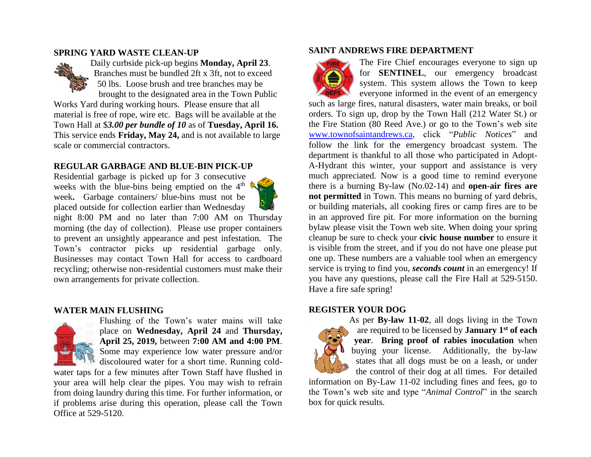#### **SPRING YARD WASTE CLEAN-UP**



Daily curbside pick-up begins **Monday, April 23**. Branches must be bundled 2ft x 3ft, not to exceed 50 lbs. Loose brush and tree branches may be brought to the designated area in the Town Public Works Yard during working hours. Please ensure that all material is free of rope, wire etc. Bags will be available at the Town Hall at \$*3.00 per bundle of 10* as of **Tuesday, April 16.**

This service ends **Friday, May 24,** and is not available to large scale or commercial contractors.

## **REGULAR GARBAGE AND BLUE-BIN PICK-UP**

Residential garbage is picked up for 3 consecutive weeks with the blue-bins being emptied on the  $4<sup>th</sup>$ week**.** Garbage containers/ blue-bins must not be placed outside for collection earlier than Wednesday



## **WATER MAIN FLUSHING**



Flushing of the Town's water mains will take place on **Wednesday, April 24** and **Thursday, April 25, 2019,** between **7:00 AM and 4:00 PM**. Some may experience low water pressure and/or

discoloured water for a short time. Running coldwater taps for a few minutes after Town Staff have flushed in your area will help clear the pipes. You may wish to refrain from doing laundry during this time. For further information, or if problems arise during this operation, please call the Town Office at 529-5120.

#### **SAINT ANDREWS FIRE DEPARTMENT**



The Fire Chief encourages everyone to sign up for **SENTINEL**, our emergency broadcast system. This system allows the Town to keep everyone informed in the event of an emergency

such as large fires, natural disasters, water main breaks, or boil orders. To sign up, drop by the Town Hall (212 Water St.) or the Fire Station (80 Reed Ave.) or go to the Town's web site [www.townofsaintandrews.ca,](http://www.townofsaintandrews.ca/) click "*Public Notices*" and follow the link for the emergency broadcast system. The department is thankful to all those who participated in Adopt-A-Hydrant this winter, your support and assistance is very much appreciated. Now is a good time to remind everyone there is a burning By-law (No.02-14) and **open-air fires are not permitted** in Town. This means no burning of yard debris, or building materials, all cooking fires or camp fires are to be in an approved fire pit. For more information on the burning bylaw please visit the Town web site. When doing your spring cleanup be sure to check your **civic house number** to ensure it is visible from the street, and if you do not have one please put one up. These numbers are a valuable tool when an emergency service is trying to find you, *seconds count* in an emergency! If you have any questions, please call the Fire Hall at 529-5150. Have a fire safe spring!

#### **REGISTER YOUR DOG**



As per **By-law 11-02**, all dogs living in the Town are required to be licensed by **January 1st of each year**. **Bring proof of rabies inoculation** when buying your license. Additionally, the by-law states that all dogs must be on a leash, or under the control of their dog at all times. For detailed

information on By-Law 11-02 including fines and fees, go to the Town's web site and type "*Animal Control*" in the search box for quick results.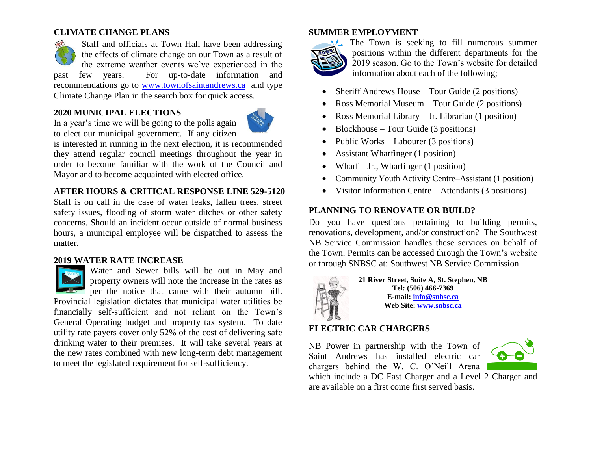## **CLIMATE CHANGE PLANS**

Staff and officials at Town Hall have been addressing the effects of climate change on our Town as a result of the extreme weather events we've experienced in the past few years. For up-to-date information and recommendations go to [www.townofsaintandrews.ca](http://www.townofsaintandrews.ca/) and type Climate Change Plan in the search box for quick access.

## **2020 MUNICIPAL ELECTIONS**



In a year's time we will be going to the polls again to elect our municipal government. If any citizen

is interested in running in the next election, it is recommended they attend regular council meetings throughout the year in order to become familiar with the work of the Council and Mayor and to become acquainted with elected office.

## **AFTER HOURS & CRITICAL RESPONSE LINE 529-5120**

Staff is on call in the case of water leaks, fallen trees, street safety issues, flooding of storm water ditches or other safety concerns. Should an incident occur outside of normal business hours, a municipal employee will be dispatched to assess the matter.

### **2019 WATER RATE INCREASE**



Water and Sewer bills will be out in May and property owners will note the increase in the rates as per the notice that came with their autumn bill.

Provincial legislation dictates that municipal water utilities be financially self-sufficient and not reliant on the Town's General Operating budget and property tax system. To date utility rate payers cover only 52% of the cost of delivering safe drinking water to their premises. It will take several years at the new rates combined with new long-term debt management to meet the legislated requirement for self-sufficiency.

## **SUMMER EMPLOYMENT**



The Town is seeking to fill numerous summer positions within the different departments for the 2019 season. Go to the Town's website for detailed information about each of the following;

- Sheriff Andrews House Tour Guide (2 positions)
- Ross Memorial Museum Tour Guide (2 positions)
- Ross Memorial Library Jr. Librarian (1 position)
- Blockhouse Tour Guide (3 positions)
- Public Works Labourer (3 positions)
- Assistant Wharfinger (1 position)
- Wharf Jr., Wharfinger  $(1$  position)
- Community Youth Activity Centre–Assistant (1 position)
- Visitor Information Centre Attendants (3 positions)

## **PLANNING TO RENOVATE OR BUILD?**

Do you have questions pertaining to building permits, renovations, development, and/or construction? The Southwest NB Service Commission handles these services on behalf of the Town. Permits can be accessed through the Town's website or through SNBSC at: Southwest NB Service Commission



**21 River Street, Suite A, St. Stephen, NB Tel: (506) 466-7369 E-mail: [info@snbsc.ca](mailto:info@snbsc.ca) Web Site: [www.snbsc.ca](http://www.snbsc.ca/)**

## **ELECTRIC CAR CHARGERS**

NB Power in partnership with the Town of Saint Andrews has installed electric car chargers behind the W. C. O'Neill Arena



which include a DC Fast Charger and a Level 2 Charger and are available on a first come first served basis.